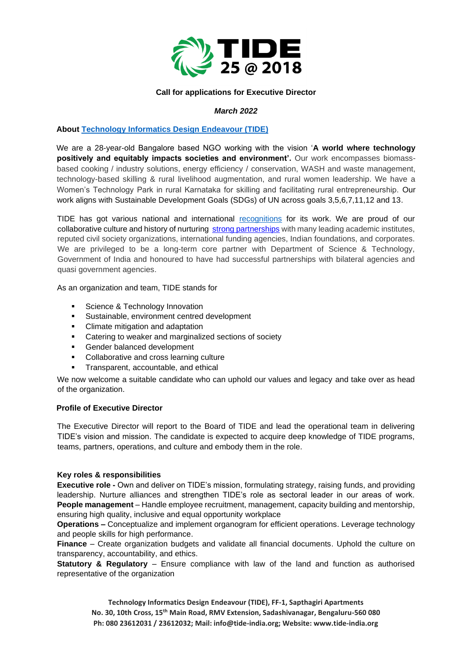

## **Call for applications for Executive Director**

## *March 2022*

# **About [Technology Informatics Design Endeavour \(TIDE\)](https://tide-india.org/)**

We are a 28-year-old Bangalore based NGO working with the vision '**A world where technology positively and equitably impacts societies and environment'.** Our work encompasses biomassbased cooking / industry solutions, energy efficiency / conservation, WASH and waste management, technology-based skilling & rural livelihood augmentation, and rural women leadership. We have a Women's Technology Park in rural Karnataka for skilling and facilitating rural entrepreneurship. Our work aligns with Sustainable Development Goals (SDGs) of UN across goals 3,5,6,7,11,12 and 13.

TIDE has got various national and international [recognitions](https://tide-india.org/tide-awards-recognitions/) for its work. We are proud of our collaborative culture and history of nurturing [strong partnerships](https://tide-india.org/our-partners/) with many leading academic institutes, reputed civil society organizations, international funding agencies, Indian foundations, and corporates. We are privileged to be a long-term core partner with Department of Science & Technology, Government of India and honoured to have had successful partnerships with bilateral agencies and quasi government agencies.

As an organization and team, TIDE stands for

- Science & Technology Innovation
- Sustainable, environment centred development
- Climate mitigation and adaptation
- Catering to weaker and marginalized sections of society
- Gender balanced development
- Collaborative and cross learning culture
- **•** Transparent, accountable, and ethical

We now welcome a suitable candidate who can uphold our values and legacy and take over as head of the organization.

## **Profile of Executive Director**

The Executive Director will report to the Board of TIDE and lead the operational team in delivering TIDE's vision and mission. The candidate is expected to acquire deep knowledge of TIDE programs, teams, partners, operations, and culture and embody them in the role.

## **Key roles & responsibilities**

**Executive role -** Own and deliver on TIDE's mission, formulating strategy, raising funds, and providing leadership. Nurture alliances and strengthen TIDE's role as sectoral leader in our areas of work. **People management** – Handle employee recruitment, management, capacity building and mentorship, ensuring high quality, inclusive and equal opportunity workplace

**Operations –** Conceptualize and implement organogram for efficient operations. Leverage technology and people skills for high performance.

**Finance** – Create organization budgets and validate all financial documents. Uphold the culture on transparency, accountability, and ethics.

**Statutory & Regulatory** – Ensure compliance with law of the land and function as authorised representative of the organization

**Technology Informatics Design Endeavour (TIDE), FF-1, Sapthagiri Apartments No. 30, 10th Cross, 15th Main Road, RMV Extension, Sadashivanagar, Bengaluru-560 080 Ph: 080 23612031 / 23612032; Mail: info@tide-india.org; Website: www.tide-india.org**